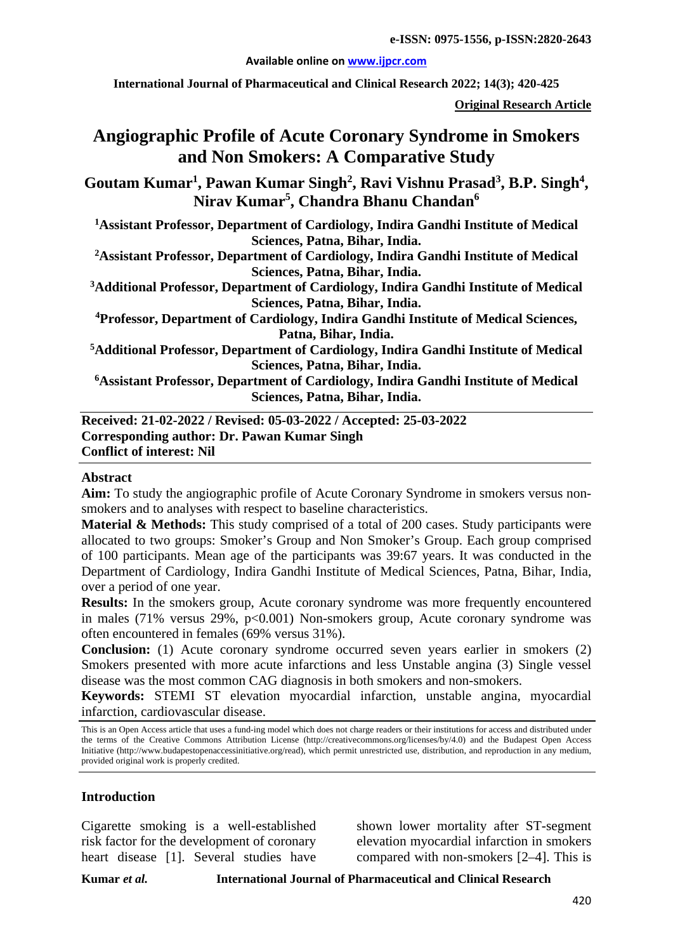#### **Available online on [www.ijpcr.com](http://www.ijpcr.com/)**

**International Journal of Pharmaceutical and Clinical Research 2022; 14(3); 420-425**

**Original Research Article**

# **Angiographic Profile of Acute Coronary Syndrome in Smokers and Non Smokers: A Comparative Study**

Goutam Kumar<sup>1</sup>, Pawan Kumar Singh<sup>2</sup>, Ravi Vishnu Prasad<sup>3</sup>, B.P. Singh<sup>4</sup>, **Nirav Kumar5 , Chandra Bhanu Chandan6**

**1 Assistant Professor, Department of Cardiology, Indira Gandhi Institute of Medical Sciences, Patna, Bihar, India.**

**2 Assistant Professor, Department of Cardiology, Indira Gandhi Institute of Medical Sciences, Patna, Bihar, India.**

**3 Additional Professor, Department of Cardiology, Indira Gandhi Institute of Medical Sciences, Patna, Bihar, India.**

**4 Professor, Department of Cardiology, Indira Gandhi Institute of Medical Sciences, Patna, Bihar, India.**

**5 Additional Professor, Department of Cardiology, Indira Gandhi Institute of Medical Sciences, Patna, Bihar, India.**

**6Assistant Professor, Department of Cardiology, Indira Gandhi Institute of Medical Sciences, Patna, Bihar, India.**

**Received: 21-02-2022 / Revised: 05-03-2022 / Accepted: 25-03-2022 Corresponding author: Dr. Pawan Kumar Singh Conflict of interest: Nil**

#### **Abstract**

**Aim:** To study the angiographic profile of Acute Coronary Syndrome in smokers versus nonsmokers and to analyses with respect to baseline characteristics.

**Material & Methods:** This study comprised of a total of 200 cases. Study participants were allocated to two groups: Smoker's Group and Non Smoker's Group. Each group comprised of 100 participants. Mean age of the participants was 39:67 years. It was conducted in the Department of Cardiology, Indira Gandhi Institute of Medical Sciences, Patna, Bihar, India, over a period of one year.

**Results:** In the smokers group, Acute coronary syndrome was more frequently encountered in males  $(71\%$  versus  $29\%$ ,  $p<0.001$ ) Non-smokers group, Acute coronary syndrome was often encountered in females (69% versus 31%).

**Conclusion:** (1) Acute coronary syndrome occurred seven years earlier in smokers (2) Smokers presented with more acute infarctions and less Unstable angina (3) Single vessel disease was the most common CAG diagnosis in both smokers and non-smokers.

**Keywords:** STEMI ST elevation myocardial infarction, unstable angina, myocardial infarction, cardiovascular disease.

This is an Open Access article that uses a fund-ing model which does not charge readers or their institutions for access and distributed under the terms of the Creative Commons Attribution License (http://creativecommons.org/licenses/by/4.0) and the Budapest Open Access Initiative (http://www.budapestopenaccessinitiative.org/read), which permit unrestricted use, distribution, and reproduction in any medium, provided original work is properly credited.

#### **Introduction**

Cigarette smoking is a well-established risk factor for the development of coronary heart disease [1]. Several studies have

shown lower mortality after ST-segment elevation myocardial infarction in smokers compared with non-smokers [2–4]. This is

**Kumar** *et al.* **International Journal of Pharmaceutical and Clinical Research**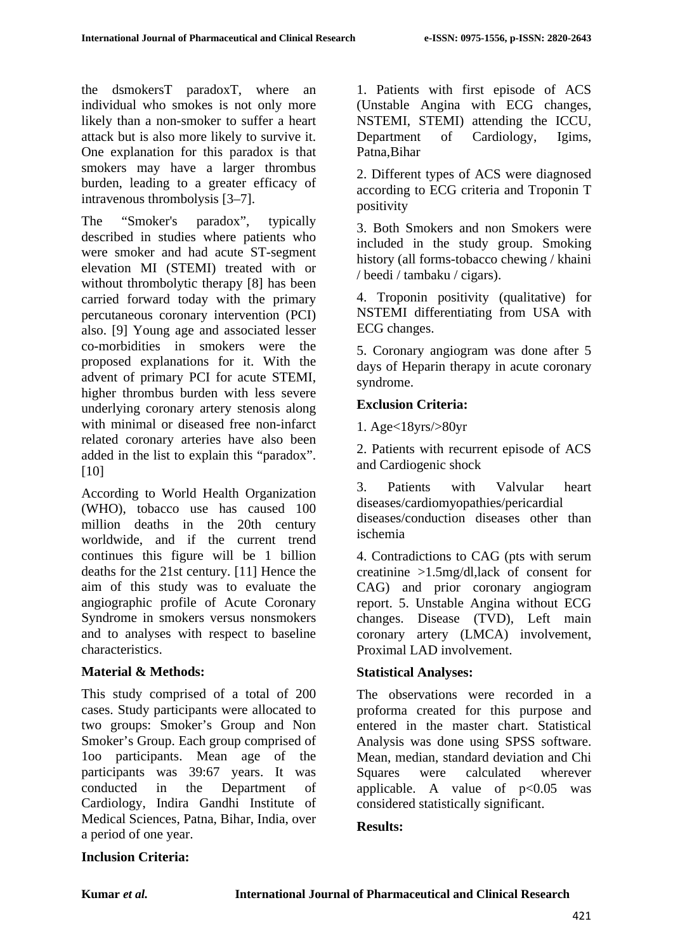the dsmokersT paradoxT, where an individual who smokes is not only more likely than a non-smoker to suffer a heart attack but is also more likely to survive it. One explanation for this paradox is that smokers may have a larger thrombus burden, leading to a greater efficacy of intravenous thrombolysis [3–7].

The "Smoker's paradox", typically described in studies where patients who were smoker and had acute ST-segment elevation MI (STEMI) treated with or without thrombolytic therapy [8] has been carried forward today with the primary percutaneous coronary intervention (PCI) also. [9] Young age and associated lesser co-morbidities in smokers were the proposed explanations for it. With the advent of primary PCI for acute STEMI, higher thrombus burden with less severe underlying coronary artery stenosis along with minimal or diseased free non-infarct related coronary arteries have also been added in the list to explain this "paradox". [10]

According to World Health Organization (WHO), tobacco use has caused 100 million deaths in the 20th century worldwide, and if the current trend continues this figure will be 1 billion deaths for the 21st century. [11] Hence the aim of this study was to evaluate the angiographic profile of Acute Coronary Syndrome in smokers versus nonsmokers and to analyses with respect to baseline characteristics.

# **Material & Methods:**

This study comprised of a total of 200 cases. Study participants were allocated to two groups: Smoker's Group and Non Smoker's Group. Each group comprised of 1oo participants. Mean age of the participants was 39:67 years. It was conducted in the Department of Cardiology, Indira Gandhi Institute of Medical Sciences, Patna, Bihar, India, over a period of one year.

1. Patients with first episode of ACS (Unstable Angina with ECG changes, NSTEMI, STEMI) attending the ICCU, Department of Cardiology, Igims, Patna,Bihar

2. Different types of ACS were diagnosed according to ECG criteria and Troponin T positivity

3. Both Smokers and non Smokers were included in the study group. Smoking history (all forms-tobacco chewing / khaini / beedi / tambaku / cigars).

4. Troponin positivity (qualitative) for NSTEMI differentiating from USA with ECG changes.

5. Coronary angiogram was done after 5 days of Heparin therapy in acute coronary syndrome.

# **Exclusion Criteria:**

1. Age<18yrs/>80yr

2. Patients with recurrent episode of ACS and Cardiogenic shock

3. Patients with Valvular heart diseases/cardiomyopathies/pericardial diseases/conduction diseases other than ischemia

4. Contradictions to CAG (pts with serum creatinine >1.5mg/dl,lack of consent for CAG) and prior coronary angiogram report. 5. Unstable Angina without ECG changes. Disease (TVD), Left main coronary artery (LMCA) involvement, Proximal LAD involvement.

# **Statistical Analyses:**

The observations were recorded in a proforma created for this purpose and entered in the master chart. Statistical Analysis was done using SPSS software. Mean, median, standard deviation and Chi Squares were calculated wherever applicable. A value of  $p<0.05$  was considered statistically significant.

# **Results:**

# **Inclusion Criteria:**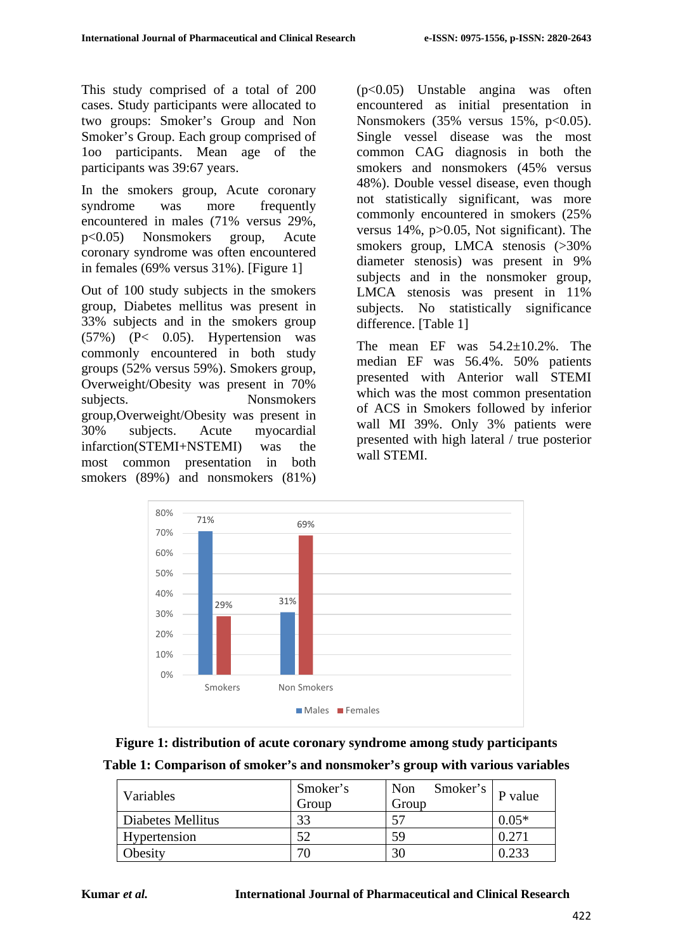This study comprised of a total of 200 cases. Study participants were allocated to two groups: Smoker's Group and Non Smoker's Group. Each group comprised of 1oo participants. Mean age of the participants was 39:67 years.

In the smokers group, Acute coronary syndrome was more frequently encountered in males (71% versus 29%, p<0.05) Nonsmokers group, Acute coronary syndrome was often encountered in females (69% versus 31%). [Figure 1]

Out of 100 study subjects in the smokers group, Diabetes mellitus was present in 33% subjects and in the smokers group (57%) (P< 0.05). Hypertension was commonly encountered in both study groups (52% versus 59%). Smokers group, Overweight/Obesity was present in 70% subjects. Nonsmokers group,Overweight/Obesity was present in 30% subjects. Acute myocardial infarction(STEMI+NSTEMI) was the most common presentation in both smokers (89%) and nonsmokers (81%)

(p<0.05) Unstable angina was often encountered as initial presentation in Nonsmokers  $(35\% \text{ versus } 15\%, \text{ p} < 0.05)$ . Single vessel disease was the most common CAG diagnosis in both the smokers and nonsmokers (45% versus 48%). Double vessel disease, even though not statistically significant, was more commonly encountered in smokers (25% versus 14%, p>0.05, Not significant). The smokers group, LMCA stenosis (>30% diameter stenosis) was present in 9% subjects and in the nonsmoker group, LMCA stenosis was present in 11% subjects. No statistically significance difference. [Table 1]

The mean EF was  $54.2 \pm 10.2\%$ . The median EF was 56.4%. 50% patients presented with Anterior wall STEMI which was the most common presentation of ACS in Smokers followed by inferior wall MI 39%. Only 3% patients were presented with high lateral / true posterior wall STEMI.



| Figure 1: distribution of acute coronary syndrome among study participants   |
|------------------------------------------------------------------------------|
| Table 1: Comparison of smoker's and nonsmoker's group with various variables |

| Variables         | Smoker's<br>Group | Smoker's<br><b>Non</b><br>Group | P value |
|-------------------|-------------------|---------------------------------|---------|
| Diabetes Mellitus | 33                |                                 | $0.05*$ |
| Hypertension      | - ~               | 59                              | 0.271   |
| Obesity           |                   | 30                              | .233    |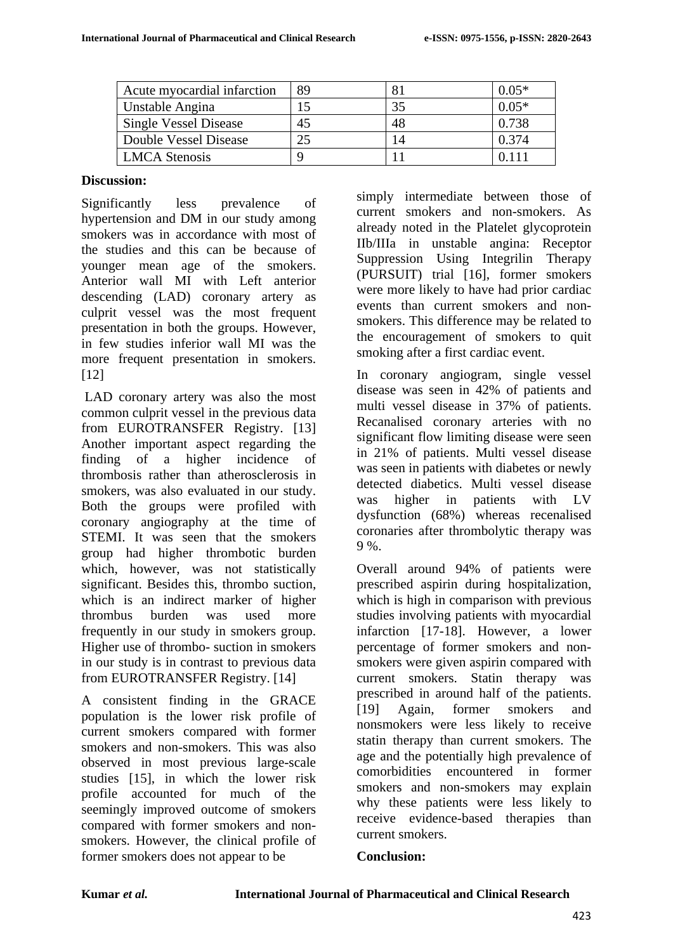| Acute myocardial infarction  | 89 |    | $0.05*$ |
|------------------------------|----|----|---------|
| Unstable Angina              |    | 35 | $0.05*$ |
| <b>Single Vessel Disease</b> | 45 | 48 | 0.738   |
| Double Vessel Disease        |    | 14 | 0.374   |
| <b>LMCA</b> Stenosis         |    |    | 0.111   |

### **Discussion:**

Significantly less prevalence of hypertension and DM in our study among smokers was in accordance with most of the studies and this can be because of younger mean age of the smokers. Anterior wall MI with Left anterior descending (LAD) coronary artery as culprit vessel was the most frequent presentation in both the groups. However, in few studies inferior wall MI was the more frequent presentation in smokers. [12]

LAD coronary artery was also the most common culprit vessel in the previous data from EUROTRANSFER Registry. [13] Another important aspect regarding the finding of a higher incidence of thrombosis rather than atherosclerosis in smokers, was also evaluated in our study. Both the groups were profiled with coronary angiography at the time of STEMI. It was seen that the smokers group had higher thrombotic burden which, however, was not statistically significant. Besides this, thrombo suction, which is an indirect marker of higher thrombus burden was used more frequently in our study in smokers group. Higher use of thrombo- suction in smokers in our study is in contrast to previous data from EUROTRANSFER Registry. [14]

A consistent finding in the GRACE population is the lower risk profile of current smokers compared with former smokers and non-smokers. This was also observed in most previous large-scale studies [15], in which the lower risk profile accounted for much of the seemingly improved outcome of smokers compared with former smokers and nonsmokers. However, the clinical profile of former smokers does not appear to be

simply intermediate between those of current smokers and non-smokers. As already noted in the Platelet glycoprotein IIb/IIIa in unstable angina: Receptor Suppression Using Integrilin Therapy (PURSUIT) trial [16], former smokers were more likely to have had prior cardiac events than current smokers and nonsmokers. This difference may be related to the encouragement of smokers to quit smoking after a first cardiac event.

In coronary angiogram, single vessel disease was seen in 42% of patients and multi vessel disease in 37% of patients. Recanalised coronary arteries with no significant flow limiting disease were seen in 21% of patients. Multi vessel disease was seen in patients with diabetes or newly detected diabetics. Multi vessel disease was higher in patients with LV dysfunction (68%) whereas recenalised coronaries after thrombolytic therapy was 9 %.

Overall around 94% of patients were prescribed aspirin during hospitalization, which is high in comparison with previous studies involving patients with myocardial infarction [17-18]. However, a lower percentage of former smokers and nonsmokers were given aspirin compared with current smokers. Statin therapy was prescribed in around half of the patients. [19] Again, former smokers and nonsmokers were less likely to receive statin therapy than current smokers. The age and the potentially high prevalence of comorbidities encountered in former smokers and non-smokers may explain why these patients were less likely to receive evidence-based therapies than current smokers.

# **Conclusion:**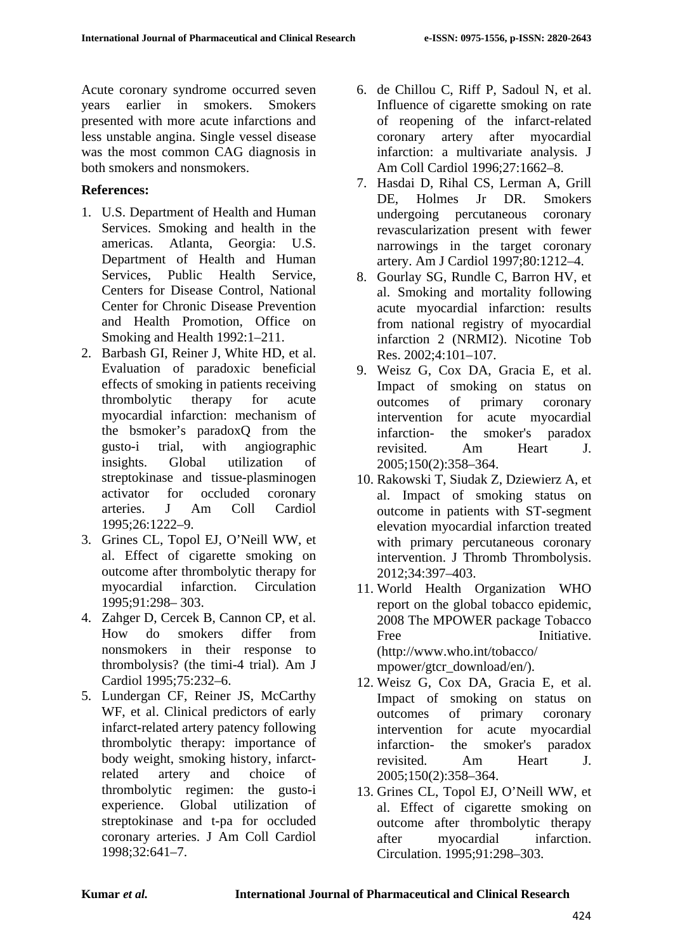Acute coronary syndrome occurred seven years earlier in smokers. Smokers presented with more acute infarctions and less unstable angina. Single vessel disease was the most common CAG diagnosis in both smokers and nonsmokers.

# **References:**

- 1. U.S. Department of Health and Human Services. Smoking and health in the americas. Atlanta, Georgia: U.S. Department of Health and Human Services, Public Health Service, Centers for Disease Control, National Center for Chronic Disease Prevention and Health Promotion, Office on Smoking and Health 1992:1–211.
- 2. Barbash GI, Reiner J, White HD, et al. Evaluation of paradoxic beneficial effects of smoking in patients receiving thrombolytic therapy for acute myocardial infarction: mechanism of the bsmoker's paradoxQ from the gusto-i trial, with angiographic insights. Global utilization of streptokinase and tissue-plasminogen activator for occluded coronary arteries. J Am Coll Cardiol 1995;26:1222–9.
- 3. Grines CL, Topol EJ, O'Neill WW, et al. Effect of cigarette smoking on outcome after thrombolytic therapy for myocardial infarction. Circulation 1995;91:298– 303.
- 4. Zahger D, Cercek B, Cannon CP, et al. How do smokers differ from nonsmokers in their response to thrombolysis? (the timi-4 trial). Am J Cardiol 1995;75:232–6.
- 5. Lundergan CF, Reiner JS, McCarthy WF, et al. Clinical predictors of early infarct-related artery patency following thrombolytic therapy: importance of body weight, smoking history, infarctrelated artery and choice of thrombolytic regimen: the gusto-i experience. Global utilization of streptokinase and t-pa for occluded coronary arteries. J Am Coll Cardiol 1998;32:641–7.
- 6. de Chillou C, Riff P, Sadoul N, et al. Influence of cigarette smoking on rate of reopening of the infarct-related coronary artery after myocardial infarction: a multivariate analysis. J Am Coll Cardiol 1996;27:1662–8.
- 7. Hasdai D, Rihal CS, Lerman A, Grill DE, Holmes Jr DR. Smokers undergoing percutaneous coronary revascularization present with fewer narrowings in the target coronary artery. Am J Cardiol 1997;80:1212–4.
- 8. Gourlay SG, Rundle C, Barron HV, et al. Smoking and mortality following acute myocardial infarction: results from national registry of myocardial infarction 2 (NRMI2). Nicotine Tob Res. 2002;4:101–107.
- 9. Weisz G, Cox DA, Gracia E, et al. Impact of smoking on status on outcomes of primary coronary intervention for acute myocardial infarction- the smoker's paradox revisited. Am Heart J. 2005;150(2):358–364.
- 10. Rakowski T, Siudak Z, Dziewierz A, et al. Impact of smoking status on outcome in patients with ST-segment elevation myocardial infarction treated with primary percutaneous coronary intervention. J Thromb Thrombolysis. 2012;34:397–403.
- 11. World Health Organization WHO report on the global tobacco epidemic, 2008 The MPOWER package Tobacco Free Initiative (http://www.who.int/tobacco/ mpower/gtcr\_download/en/).
- 12. Weisz G, Cox DA, Gracia E, et al. Impact of smoking on status on outcomes of primary coronary intervention for acute myocardial infarction- the smoker's paradox revisited. Am Heart J. 2005;150(2):358–364.
- 13. Grines CL, Topol EJ, O'Neill WW, et al. Effect of cigarette smoking on outcome after thrombolytic therapy after myocardial infarction. Circulation. 1995;91:298–303.